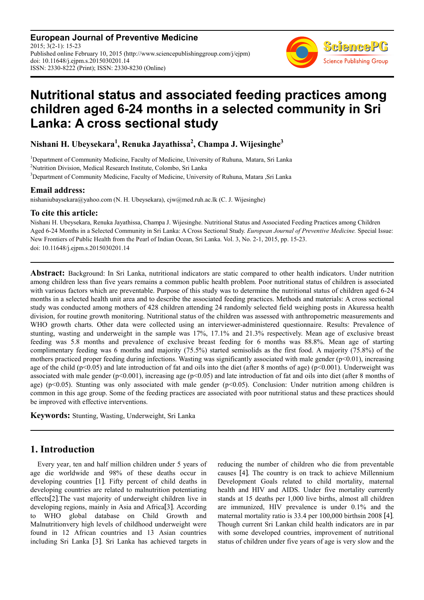**European Journal of Preventive Medicine** 2015; 3(2-1): 15-23 Published online February 10, 2015 (http://www.sciencepublishinggroup.com/j/ejpm) doi: 10.11648/j.ejpm.s.2015030201.14 ISSN: 2330-8222 (Print); ISSN: 2330-8230 (Online)



# **Nutritional status and associated feeding practices among children aged 6-24 months in a selected community in Sri Lanka: A cross sectional study**

**Nishani H. Ubeysekara<sup>1</sup> , Renuka Jayathissa<sup>2</sup> , Champa J. Wijesinghe<sup>3</sup>**

<sup>1</sup>Department of Community Medicine, Faculty of Medicine, University of Ruhuna, Matara, Sri Lanka <sup>2</sup>Nutrition Division, Medical Research Institute, Colombo, Sri Lanka <sup>3</sup>Department of Community Medicine, Faculty of Medicine, University of Ruhuna, Matara ,Sri Lanka

### **Email address:**

nishaniubaysekara@yahoo.com (N. H. Ubeysekara), cjw@med.ruh.ac.lk (C. J. Wijesinghe)

### **To cite this article:**

Nishani H. Ubeysekara, Renuka Jayathissa, Champa J. Wijesinghe. Nutritional Status and Associated Feeding Practices among Children Aged 6-24 Months in a Selected Community in Sri Lanka: A Cross Sectional Study. *European Journal of Preventive Medicine.* Special Issue: New Frontiers of Public Health from the Pearl of Indian Ocean, Sri Lanka. Vol. 3, No. 2-1, 2015, pp. 15-23. doi: 10.11648/j.ejpm.s.2015030201.14

**Abstract:** Background: In Sri Lanka, nutritional indicators are static compared to other health indicators. Under nutrition among children less than five years remains a common public health problem. Poor nutritional status of children is associated with various factors which are preventable. Purpose of this study was to determine the nutritional status of children aged 6-24 months in a selected health unit area and to describe the associated feeding practices. Methods and materials: A cross sectional study was conducted among mothers of 428 children attending 24 randomly selected field weighing posts in Akuressa health division, for routine growth monitoring. Nutritional status of the children was assessed with anthropometric measurements and WHO growth charts. Other data were collected using an interviewer-administered questionnaire. Results: Prevalence of stunting, wasting and underweight in the sample was 17%, 17.1% and 21.3% respectively. Mean age of exclusive breast feeding was 5.8 months and prevalence of exclusive breast feeding for 6 months was 88.8%. Mean age of starting complimentary feeding was 6 months and majority (75.5%) started semisolids as the first food. A majority (75.8%) of the mothers practiced proper feeding during infections. Wasting was significantly associated with male gender  $(p<0.01)$ , increasing age of the child ( $p<0.05$ ) and late introduction of fat and oils into the diet (after 8 months of age) ( $p<0.001$ ). Underweight was associated with male gender ( $p<0.001$ ), increasing age ( $p<0.05$ ) and late introduction of fat and oils into diet (after 8 months of age) ( $p<0.05$ ). Stunting was only associated with male gender ( $p<0.05$ ). Conclusion: Under nutrition among children is common in this age group. Some of the feeding practices are associated with poor nutritional status and these practices should be improved with effective interventions.

**Keywords:** Stunting, Wasting, Underweight, Sri Lanka

# **1. Introduction**

Every year, ten and half million children under 5 years of age die worldwide and 98% of these deaths occur in developing countries [1]. Fifty percent of child deaths in developing countries are related to malnutrition potentiating effects[2].The vast majority of underweight children live in developing regions, mainly in Asia and Africa[3]. According to WHO global database on Child Growth and Malnutritionvery high levels of childhood underweight were found in 12 African countries and 13 Asian countries including Sri Lanka [3]. Sri Lanka has achieved targets in reducing the number of children who die from preventable causes [4]. The country is on track to achieve Millennium Development Goals related to child mortality, maternal health and HIV and AIDS. Under five mortality currently stands at 15 deaths per 1,000 live births, almost all children are immunized, HIV prevalence is under 0.1% and the maternal mortality ratio is 33.4 per 100,000 birthsin 2008 [4]. Though current Sri Lankan child health indicators are in par with some developed countries, improvement of nutritional status of children under five years of age is very slow and the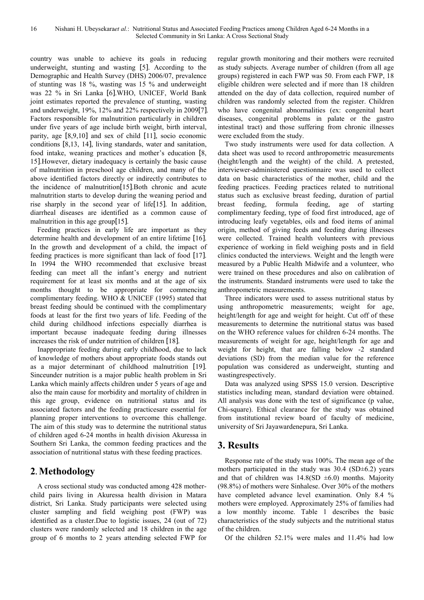country was unable to achieve its goals in reducing underweight, stunting and wasting [5]. According to the Demographic and Health Survey (DHS) 2006/07, prevalence of stunting was 18 %, wasting was 15 % and underweight was 22 % in Sri Lanka [6].WHO, UNICEF, World Bank joint estimates reported the prevalence of stunting, wasting and underweight, 19%, 12% and 22% respectively in 2009[7]. Factors responsible for malnutrition particularly in children under five years of age include birth weight, birth interval, parity, age [8,9,10] and sex of child [11], socio economic conditions [8,13, 14], living standards, water and sanitation, food intake, weaning practices and mother's education [8, 15].However, dietary inadequacy is certainly the basic cause of malnutrition in preschool age children, and many of the above identified factors directly or indirectly contributes to the incidence of malnutrition[15].Both chronic and acute malnutrition starts to develop during the weaning period and rise sharply in the second year of life[15]. In addition, diarrheal diseases are identified as a common cause of malnutrition in this age group[15].

Feeding practices in early life are important as they determine health and development of an entire lifetime [16]. In the growth and development of a child, the impact of feeding practices is more significant than lack of food [17]. In 1994 the WHO recommended that exclusive breast feeding can meet all the infant's energy and nutrient requirement for at least six months and at the age of six months thought to be appropriate for commencing complimentary feeding. WHO & UNICEF (1995) stated that breast feeding should be continued with the complimentary foods at least for the first two years of life. Feeding of the child during childhood infections especially diarrhea is important because inadequate feeding during illnesses increases the risk of under nutrition of children [18].

Inappropriate feeding during early childhood, due to lack of knowledge of mothers about appropriate foods stands out as a major determinant of childhood malnutrition [19]. Sinceunder nutrition is a major public health problem in Sri Lanka which mainly affects children under 5 years of age and also the main cause for morbidity and mortality of children in this age group, evidence on nutritional status and its associated factors and the feeding practicesare essential for planning proper interventions to overcome this challenge. The aim of this study was to determine the nutritional status of children aged 6-24 months in health division Akuressa in Southern Sri Lanka, the common feeding practices and the association of nutritional status with these feeding practices.

# **2. Methodology**

A cross sectional study was conducted among 428 motherchild pairs living in Akuressa health division in Matara district, Sri Lanka. Study participants were selected using cluster sampling and field weighing post (FWP) was identified as a cluster.Due to logistic issues, 24 (out of 72) clusters were randomly selected and 18 children in the age group of 6 months to 2 years attending selected FWP for regular growth monitoring and their mothers were recruited as study subjects. Average number of children (from all age groups) registered in each FWP was 50. From each FWP, 18 eligible children were selected and if more than 18 children attended on the day of data collection, required number of children was randomly selected from the register. Children who have congenital abnormalities (ex: congenital heart diseases, congenital problems in palate or the gastro intestinal tract) and those suffering from chronic illnesses were excluded from the study.

Two study instruments were used for data collection. A data sheet was used to record anthropometric measurements (height/length and the weight) of the child. A pretested, interviewer-administered questionnaire was used to collect data on basic characteristics of the mother, child and the feeding practices. Feeding practices related to nutritional status such as exclusive breast feeding, duration of partial breast feeding, formula feeding, age of starting complimentary feeding, type of food first introduced, age of introducing leafy vegetables, oils and food items of animal origin, method of giving feeds and feeding during illnesses were collected. Trained health volunteers with previous experience of working in field weighing posts and in field clinics conducted the interviews. Weight and the length were measured by a Public Health Midwife and a volunteer, who were trained on these procedures and also on calibration of the instruments. Standard instruments were used to take the anthropometric measurements.

Three indicators were used to assess nutritional status by using anthropometric measurements; weight for age, height/length for age and weight for height. Cut off of these measurements to determine the nutritional status was based on the WHO reference values for children 6-24 months. The measurements of weight for age, height/length for age and weight for height, that are falling below -2 standard deviations (SD) from the median value for the reference population was considered as underweight, stunting and wastingrespectively.

Data was analyzed using SPSS 15.0 version. Descriptive statistics including mean, standard deviation were obtained. All analysis was done with the test of significance (p value, Chi-square). Ethical clearance for the study was obtained from institutional review board of faculty of medicine, university of Sri Jayawardenepura, Sri Lanka.

# **3. Results**

Response rate of the study was 100%. The mean age of the mothers participated in the study was  $30.4$  (SD $\pm$ 6.2) years and that of children was  $14.8(SD \pm 6.0)$  months. Majority (98.8%) of mothers were Sinhalese. Over 30% of the mothers have completed advance level examination. Only 8.4 % mothers were employed. Approximately 25% of families had a low monthly income. Table 1 describes the basic characteristics of the study subjects and the nutritional status of the children.

Of the children 52.1% were males and 11.4% had low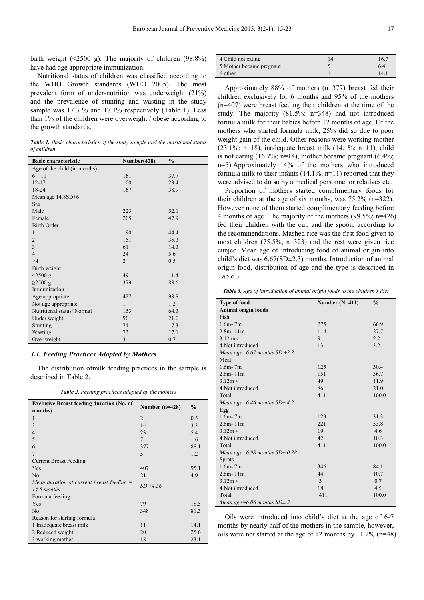birth weight  $(\leq 2500 \text{ g})$ . The majority of children  $(98.8\%)$ have had age appropriate immunization.

Nutritional status of children was classified according to the WHO Growth standards (WHO 2005). The most prevalent form of under-nutrition was underweight (21%) and the prevalence of stunting and wasting in the study sample was 17.3 % and 17.1% respectively (Table 1). Less than 1% of the children were overweight / obese according to the growth standards.

*Table 1. Basic characteristics of the study sample and the nutritional status of children* 

| <b>Basic characteristic</b>  | Number(428)    | $\frac{0}{0}$ |
|------------------------------|----------------|---------------|
| Age of the child (in months) |                |               |
| $6 - 11$                     | 161            | 37.7          |
| $12 - 17$                    | 100            | 23.4          |
| 18-24                        | 167            | 38.9          |
| Mean age $14.8SD \pm 6$      |                |               |
| <b>Sex</b>                   |                |               |
| Male                         | 223            | 52.1          |
| Female                       | 205            | 47.9          |
| <b>Birth Order</b>           |                |               |
| 1                            | 190            | 44.4          |
| $\overline{2}$               | 151            | 35.3          |
| $\overline{3}$               | 61             | 14.3          |
| $\overline{4}$               | 24             | 5.6           |
| >4                           | $\overline{2}$ | 0.5           |
| Birth weight                 |                |               |
| $<$ 2500 g                   | 49             | 11.4          |
| $\geq$ 2500 g                | 379            | 88.6          |
| Immunization                 |                |               |
| Age appropriate              | 427            | 98.8          |
| Not age appropriate          | $\mathbf{1}$   | 1.2           |
| Nutritional status*Normal    | 153            | 64.3          |
| Under weight                 | 90             | 21.0          |
| Stunting                     | 74             | 17.3          |
| Wasting                      | 73             | 17.1          |
| Over weight                  | 3              | 0.7           |

#### *3.1. Feeding Practices Adopted by Mothers*

The distribution ofmilk feeding practices in the sample is described in Table 2.

*Table 2. Feeding practices adopted by the mothers* 

| <b>Exclusive Breast feeding duration (No. of</b> |                  |               |  |  |  |
|--------------------------------------------------|------------------|---------------|--|--|--|
| months)                                          | Number $(n=428)$ | $\frac{6}{9}$ |  |  |  |
| 1                                                | $\overline{2}$   | 0.5           |  |  |  |
| 3                                                | 14               | 3.3           |  |  |  |
| 4                                                | 23               | 5.4           |  |  |  |
| 5                                                | $\overline{7}$   | 1.6           |  |  |  |
| 6                                                | 377              | 88.1          |  |  |  |
| 7                                                | 5                | 1.2           |  |  |  |
| Current Breast Feeding                           |                  |               |  |  |  |
| Yes                                              | 407              | 95.1          |  |  |  |
| N <sub>0</sub>                                   | 21               | 4.9           |  |  |  |
| Mean duration of current breast feeding $=$      | $SD \pm 4.56$    |               |  |  |  |
| 14.5 months                                      |                  |               |  |  |  |
| Formula feeding                                  |                  |               |  |  |  |
| Yes                                              | 79               | 18.5          |  |  |  |
| No                                               | 348              | 81.3          |  |  |  |
| Reason for starting formula                      |                  |               |  |  |  |
| 1 Inadequate breast milk                         | 11               | 14.1          |  |  |  |
| 2 Reduced weight                                 | 20               | 25.6          |  |  |  |
| 3 working mother                                 | 18               | 23.1          |  |  |  |

| 4 Child not eating       | 16.7 |
|--------------------------|------|
| 5 Mother became pregnant | 6.4  |
| 6 other                  | 14.1 |

Approximately 88% of mothers (n=377) breast fed their children exclusively for 6 months and 95% of the mothers (n=407) were breast feeding their children at the time of the study. The majority (81.5%: n=348) had not introduced formula milk for their babies before 12 months of age. Of the mothers who started formula milk, 25% did so due to poor weight gain of the child. Other reasons were working mother (23.1%: n=18), inadequate breast milk  $(14.1\%; n=11)$ , child is not eating  $(16.7\%; n=14)$ , mother became pregnant  $(6.4\%;$ n=5).Approximately 14% of the mothers who introduced formula milk to their infants  $(14.1\%; n=11)$  reported that they were advised to do so by a medical personnel or relatives etc.

Proportion of mothers started complimentary foods for their children at the age of six months, was 75.2% (n=322). However none of them started complimentary feeding before 4 months of age. The majority of the mothers (99.5%; n=426) fed their children with the cup and the spoon, according to the recommendations. Mashed rice was the first food given to most children (75.5%, n=323) and the rest were given rice cunjee. Mean age of introducing food of animal origin into child's diet was 6.67(SD±2.3) months. Introduction of animal origin food, distribution of age and the type is described in Table 3.

*Table 3. Age of introduction of animal origin foods to the children's diet* 

| <b>Type of food</b>                | Number $(N=411)$ | $\frac{0}{0}$ |
|------------------------------------|------------------|---------------|
| Animal origin foods                |                  |               |
| Fish                               |                  |               |
| $1.6m - 7m$                        | 275              | 66.9          |
| $2.8m - 11m$                       | 114              | 27.7          |
| $3.12 \text{ m}$                   | 9                | 2.2           |
| 4. Not introduced                  | 13               | 3.2           |
| Mean age=6.67 months SD $\pm$ 2.3  |                  |               |
| Meat                               |                  |               |
| $1.6m - 7m$                        | 125              | 30.4          |
| $2.8m - 11m$                       | 151              | 36.7          |
| 3.12m <                            | 49               | 11.9          |
| 4. Not introduced                  | 86               | 21.0          |
| Total                              | 411              | 100.0         |
| Mean age=6.46 months $SD \pm 4.2$  |                  |               |
| Egg                                |                  |               |
| $1.6m - 7m$                        | 129              | 31.3          |
| $2.8m - 11m$                       | 221              | 53.8          |
| 3.12m <                            | 19               | 4.6           |
| 4. Not introduced                  | 42               | 10.3          |
| Total                              | 411              | 100.0         |
| Mean age=6.98 months $SD \pm 0.38$ |                  |               |
| <b>Sprats</b>                      |                  |               |
| $1.6m - 7m$                        | 346              | 84.1          |
| $2.8m - 11m$                       | 44               | 10.7          |
| 3.12m <                            | 3                | 0.7           |
| 4. Not introduced                  | 18               | 4.5           |
| Total                              | 411              | 100.0         |
| Mean age=6.06 months $SD \pm 2$    |                  |               |

Oils were introduced into child's diet at the age of 6-7 months by nearly half of the mothers in the sample, however, oils were not started at the age of 12 months by 11.2% (n=48)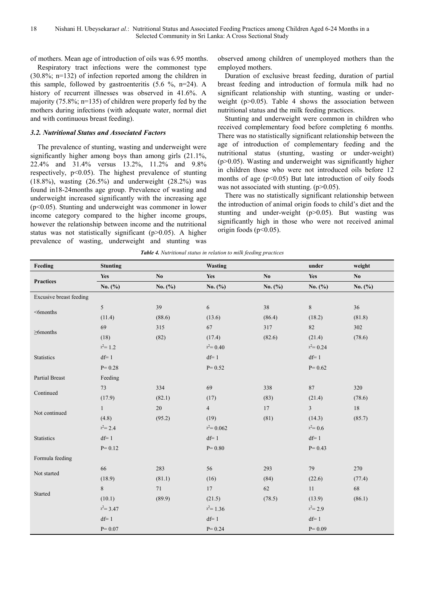of mothers. Mean age of introduction of oils was 6.95 months.

Respiratory tract infections were the commonest type (30.8%; n=132) of infection reported among the children in this sample, followed by gastroenteritis (5.6 %, n=24). A history of recurrent illnesses was observed in 41.6%. A majority (75.8%; n=135) of children were properly fed by the mothers during infections (with adequate water, normal diet and with continuous breast feeding).

#### *3.2. Nutritional Status and Associated Factors*

The prevalence of stunting, wasting and underweight were significantly higher among boys than among girls  $(21.1\%$ , 22.4% and 31.4% versus 13.2%, 11.2% and 9.8% respectively, p<0.05). The highest prevalence of stunting (18.8%), wasting (26.5%) and underweight (28.2%) was found in18-24months age group. Prevalence of wasting and underweight increased significantly with the increasing age  $(p<0.05)$ . Stunting and underweight was commoner in lower income category compared to the higher income groups, however the relationship between income and the nutritional status was not statistically significant (p>0.05). A higher prevalence of wasting, underweight and stunting was

observed among children of unemployed mothers than the employed mothers.

Duration of exclusive breast feeding, duration of partial breast feeding and introduction of formula milk had no significant relationship with stunting, wasting or underweight ( $p > 0.05$ ). Table 4 shows the association between nutritional status and the milk feeding practices.

Stunting and underweight were common in children who received complementary food before completing 6 months. There was no statistically significant relationship between the age of introduction of complementary feeding and the nutritional status (stunting, wasting or under-weight)  $(p>0.05)$ . Wasting and underweight was significantly higher in children those who were not introduced oils before 12 months of age  $(p<0.05)$  But late introduction of oily foods was not associated with stunting.  $(p>0.05)$ .

There was no statistically significant relationship between the introduction of animal origin foods to child's diet and the stunting and under-weight  $(p>0.05)$ . But wasting was significantly high in those who were not received animal origin foods ( $p<0.05$ ).

| <b>Table 4.</b> Nutritional status in relation to milk feeding practices |  |
|--------------------------------------------------------------------------|--|
|--------------------------------------------------------------------------|--|

| Feeding                 | <b>Stunting</b> |                        | <b>Wasting</b> |                        | under          | weight                 |
|-------------------------|-----------------|------------------------|----------------|------------------------|----------------|------------------------|
| <b>Practices</b>        | Yes             | $\mathbf{N}\mathbf{o}$ | Yes            | $\mathbf{N}\mathbf{o}$ | Yes            | $\mathbf{N}\mathbf{o}$ |
|                         | No. $(\% )$     | No. $(\% )$            | No. $(\%)$     | No. $(\% )$            | No. $(\%)$     | No. (%)                |
| Excusive breast feeding |                 |                        |                |                        |                |                        |
| $<$ 6months             | 5               | 39                     | $\sqrt{6}$     | 38                     | $\,8\,$        | 36                     |
|                         | (11.4)          | (88.6)                 | (13.6)         | (86.4)                 | (18.2)         | (81.8)                 |
|                         | 69              | 315                    | 67             | 317                    | $82\,$         | 302                    |
| $\geq$ 6months          | (18)            | (82)                   | (17.4)         | (82.6)                 | (21.4)         | (78.6)                 |
|                         | $x^2 = 1.2$     |                        | $x^2 = 0.40$   |                        | $x^2 = 0.24$   |                        |
| Statistics              | $df=1$          |                        | $df=1$         |                        | $df=1$         |                        |
|                         | $P = 0.28$      |                        | $P = 0.52$     |                        | $P = 0.62$     |                        |
| Partial Breast          | Feeding         |                        |                |                        |                |                        |
|                         | $73\,$          | 334                    | 69             | 338                    | 87             | 320                    |
| Continued               | (17.9)          | (82.1)                 | (17)           | (83)                   | (21.4)         | (78.6)                 |
|                         | $\mathbf{1}$    | $20\,$                 | $\overline{4}$ | 17                     | $\mathfrak{Z}$ | 18                     |
| Not continued           | (4.8)           | (95.2)                 | (19)           | (81)                   | (14.3)         | (85.7)                 |
|                         | $x^2 = 2.4$     |                        | $x^2 = 0.062$  |                        | $x^2 = 0.6$    |                        |
| Statistics              | $df=1$          |                        | $df=1$         |                        | $df=1$         |                        |
|                         | $P = 0.12$      |                        | $P = 0.80$     |                        | $P = 0.43$     |                        |
| Formula feeding         |                 |                        |                |                        |                |                        |
| Not started             | 66              | 283                    | 56             | 293                    | 79             | 270                    |
|                         | (18.9)          | (81.1)                 | (16)           | (84)                   | (22.6)         | (77.4)                 |
|                         | 8               | $71\,$                 | 17             | $62\,$                 | 11             | $68\,$                 |
| Started                 | (10.1)          | (89.9)                 | (21.5)         | (78.5)                 | (13.9)         | (86.1)                 |
|                         | $x^2 = 3.47$    |                        | $x^2$ = 1.36   |                        | $x^2 = 2.9$    |                        |
|                         | $df=1$          |                        | $df=1$         |                        | $df=1$         |                        |
|                         | $P = 0.07$      |                        | $P = 0.24$     |                        | $P = 0.09$     |                        |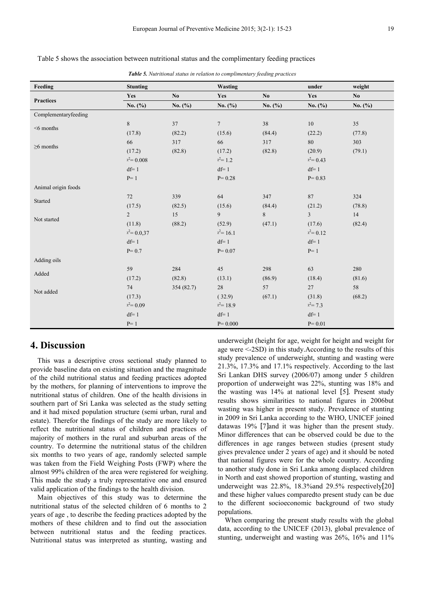| <b>Table 3.</b> Nutritional status in relation to complimentary jeeding practices |                 |                        |                  |                |                |                        |
|-----------------------------------------------------------------------------------|-----------------|------------------------|------------------|----------------|----------------|------------------------|
| Feeding                                                                           | <b>Stunting</b> |                        | Wasting          |                | under          | weight                 |
| <b>Practices</b>                                                                  | Yes             | $\mathbf{N}\mathbf{o}$ | Yes              | N <sub>0</sub> | Yes            | $\mathbf{N}\mathbf{o}$ |
|                                                                                   | No. $(\%)$      | No. $(\% )$            | No. $(\% )$      | No. $(\% )$    | No. $(\%)$     | No. $(\% )$            |
| Complementaryfeeding                                                              |                 |                        |                  |                |                |                        |
|                                                                                   | $8\,$           | 37                     | $\boldsymbol{7}$ | 38             | $10\,$         | 35                     |
| $<$ 6 months                                                                      | (17.8)          | (82.2)                 | (15.6)           | (84.4)         | (22.2)         | (77.8)                 |
|                                                                                   | 66              | 317                    | 66               | 317            | $80\,$         | 303                    |
| $\geq$ 6 months                                                                   | (17.2)          | (82.8)                 | (17.2)           | (82.8)         | (20.9)         | (79.1)                 |
|                                                                                   | $x^2 = 0.008$   |                        | $x^2 = 1.2$      |                | $x^2 = 0.43$   |                        |
|                                                                                   | $df=1$          |                        | $df=1$           |                | $df=1$         |                        |
|                                                                                   | $P=1$           |                        | $P = 0.28$       |                | $P = 0.83$     |                        |
| Animal origin foods                                                               |                 |                        |                  |                |                |                        |
|                                                                                   | 72              | 339                    | 64               | 347            | $\bf 87$       | 324                    |
| Started                                                                           | (17.5)          | (82.5)                 | (15.6)           | (84.4)         | (21.2)         | (78.8)                 |
|                                                                                   | $\overline{2}$  | 15                     | 9                | 8              | $\overline{3}$ | 14                     |
| Not started                                                                       | (11.8)          | (88.2)                 | (52.9)           | (47.1)         | (17.6)         | (82.4)                 |
|                                                                                   | $x^2 = 0.037$   |                        | $x^2$ = 16.1     |                | $x^2 = 0.12$   |                        |
|                                                                                   | $df=1$          |                        | $df=1$           |                | $df=1$         |                        |
|                                                                                   | $P = 0.7$       |                        | $P = 0.07$       |                | $P=1$          |                        |
| Adding oils                                                                       |                 |                        |                  |                |                |                        |
|                                                                                   | 59              | 284                    | 45               | 298            | 63             | 280                    |
| Added                                                                             | (17.2)          | (82.8)                 | (13.1)           | (86.9)         | (18.4)         | (81.6)                 |
|                                                                                   | 74              | 354 (82.7)             | $28\,$           | 57             | 27             | 58                     |
| Not added                                                                         | (17.3)          |                        | (32.9)           | (67.1)         | (31.8)         | (68.2)                 |
|                                                                                   | $x^2 = 0.09$    |                        | $x^2$ = 18.9     |                | $x^2 = 7.3$    |                        |
|                                                                                   | $df=1$          |                        | $df=1$           |                | $df=1$         |                        |
|                                                                                   | $P=1$           |                        | $P = 0.000$      |                | $P = 0.01$     |                        |

Table 5 shows the association between nutritional status and the complimentary feeding practices

*Table 5. Nutritional status in relation to complimentary feeding practices*

### **4. Discussion**

This was a descriptive cross sectional study planned to provide baseline data on existing situation and the magnitude of the child nutritional status and feeding practices adopted by the mothers, for planning of interventions to improve the nutritional status of children. One of the health divisions in southern part of Sri Lanka was selected as the study setting and it had mixed population structure (semi urban, rural and estate). Therefor the findings of the study are more likely to reflect the nutritional status of children and practices of majority of mothers in the rural and suburban areas of the country. To determine the nutritional status of the children six months to two years of age, randomly selected sample was taken from the Field Weighing Posts (FWP) where the almost 99% children of the area were registered for weighing. This made the study a truly representative one and ensured valid application of the findings to the health division.

Main objectives of this study was to determine the nutritional status of the selected children of 6 months to 2 years of age , to describe the feeding practices adopted by the mothers of these children and to find out the association between nutritional status and the feeding practices. Nutritional status was interpreted as stunting, wasting and underweight (height for age, weight for height and weight for age were <-2SD) in this study.According to the results of this study prevalence of underweight, stunting and wasting were 21.3%, 17.3% and 17.1% respectively. According to the last Sri Lankan DHS survey (2006/07) among under 5 children proportion of underweight was 22%, stunting was 18% and the wasting was 14% at national level [5]. Present study results shows similarities to national figures in 2006but wasting was higher in present study. Prevalence of stunting in 2009 in Sri Lanka according to the WHO, UNICEF joined datawas 19% [7]and it was higher than the present study. Minor differences that can be observed could be due to the differences in age ranges between studies (present study gives prevalence under 2 years of age) and it should be noted that national figures were for the whole country. According to another study done in Sri Lanka among displaced children in North and east showed proportion of stunting, wasting and underweight was 22.8%, 18.3%and 29.5% respectively[20] and these higher values comparedto present study can be due to the different socioeconomic background of two study populations.

When comparing the present study results with the global data, according to the UNICEF (2013), global prevalence of stunting, underweight and wasting was 26%, 16% and 11%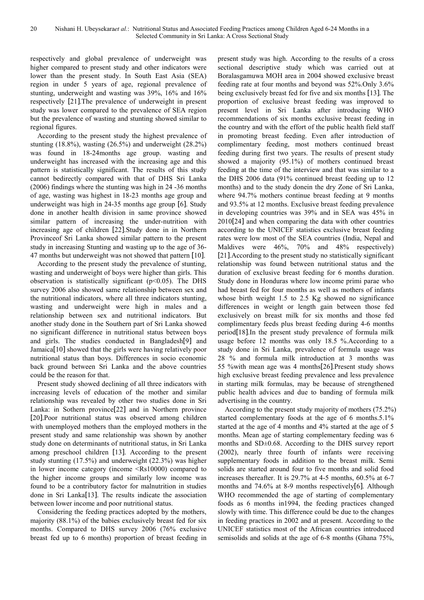respectively and global prevalence of underweight was higher compared to present study and other indicators were lower than the present study. In South East Asia (SEA) region in under 5 years of age, regional prevalence of stunting, underweight and wasting was 39%, 16% and 16% respectively [21].The prevalence of underweight in present study was lower compared to the prevalence of SEA region but the prevalence of wasting and stunting showed similar to regional figures.

According to the present study the highest prevalence of stunting (18.8%), wasting (26.5%) and underweight (28.2%) was found in 18-24months age group. wasting and underweight has increased with the increasing age and this pattern is statistically significant. The results of this study cannot bedirectly compared with that of DHS Sri Lanka (2006) findings where the stunting was high in 24 -36 months of age, wasting was highest in 18-23 months age group and underweight was high in 24-35 months age group [6]. Study done in another health division in same province showed similar pattern of increasing the under-nutrition with increasing age of children [22].Study done in in Northern Provinceof Sri Lanka showed similar pattern to the present study in increasing Stunting and wasting up to the age of 36- 47 months but underweight was not showed that pattern [10].

According to the present study the prevalence of stunting, wasting and underweight of boys were higher than girls. This observation is statistically significant ( $p$ <0.05). The DHS survey 2006 also showed same relationship between sex and the nutritional indicators, where all three indicators stunting, wasting and underweight were high in males and a relationship between sex and nutritional indicators. But another study done in the Southern part of Sri Lanka showed no significant difference in nutritional status between boys and girls. The studies conducted in Bangladesh[9] and Jamaica[10] showed that the girls were having relatively poor nutritional status than boys. Differences in socio economic back ground between Sri Lanka and the above countries could be the reason for that.

Present study showed declining of all three indicators with increasing levels of education of the mother and similar relationship was revealed by other two studies done in Sri Lanka: in Sothern province[22] and in Northern province [20].Poor nutritional status was observed among children with unemployed mothers than the employed mothers in the present study and same relationship was shown by another study done on determinants of nutritional status, in Sri Lanka among preschool children [13]. According to the present study stunting (17.5%) and underweight (22.3%) was higher in lower income category (income <Rs10000) compared to the higher income groups and similarly low income was found to be a contributory factor for malnutrition in studies done in Sri Lanka[13]. The results indicate the association between lower income and poor nutritional status.

Considering the feeding practices adopted by the mothers, majority (88.1%) of the babies exclusively breast fed for six months. Compared to DHS survey 2006 (76% exclusive breast fed up to 6 months) proportion of breast feeding in present study was high. According to the results of a cross sectional descriptive study which was carried out at Boralasgamuwa MOH area in 2004 showed exclusive breast feeding rate at four months and beyond was 52%.Only 3.6% being exclusively breast fed for five and six months [13]. The proportion of exclusive breast feeding was improved to present level in Sri Lanka after introducing WHO recommendations of six months exclusive breast feeding in the country and with the effort of the public health field staff in promoting breast feeding. Even after introduction of complimentary feeding, most mothers continued breast feeding during first two years. The results of present study showed a majority (95.1%) of mothers continued breast feeding at the time of the interview and that was similar to a the DHS 2006 data (91% continued breast feeding up to 12 months) and to the study donein the dry Zone of Sri Lanka, where 94.7% mothers continue breast feeding at 9 months and 93.5% at 12 months. Exclusive breast feeding prevalence in developing countries was 39% and in SEA was 45% in 2010[24] and when comparing the data with other countries according to the UNICEF statistics exclusive breast feeding rates were low most of the SEA countries (India, Nepal and Maldives were 46%, 70% and 48% respectively) [21].According to the present study no statistically significant relationship was found between nutritional status and the duration of exclusive breast feeding for 6 months duration. Study done in Honduras where low income primi parae who had breast fed for four months as well as mothers of infants whose birth weight 1.5 to 2.5 Kg showed no significance differences in weight or length gain between those fed exclusively on breast milk for six months and those fed complimentary feeds plus breast feeding during 4-6 months period[18].In the present study prevalence of formula milk usage before 12 months was only 18.5 %.According to a study done in Sri Lanka, prevalence of formula usage was 28 % and formula milk introduction at 3 months was 55 %with mean age was 4 months[26].Present study shows high exclusive breast feeding prevalence and less prevalence in starting milk formulas, may be because of strengthened public health advices and due to banding of formula milk advertising in the country.

According to the present study majority of mothers (75.2%) started complementary foods at the age of 6 months.5.1% started at the age of 4 months and 4% started at the age of 5 months. Mean age of starting complementary feeding was 6 months and SD±0.68. According to the DHS survey report (2002), nearly three fourth of infants were receiving supplementary foods in addition to the breast milk. Semi solids are started around four to five months and solid food increases thereafter. It is 29.7% at 4-5 months, 60.5% at 6-7 months and 74.6% at 8-9 months respectively[6]. Although WHO recommended the age of starting of complementary foods as 6 months in1994, the feeding practices changed slowly with time. This difference could be due to the changes in feeding practices in 2002 and at present. According to the UNICEF statistics most of the African countries introduced semisolids and solids at the age of 6-8 months (Ghana 75%,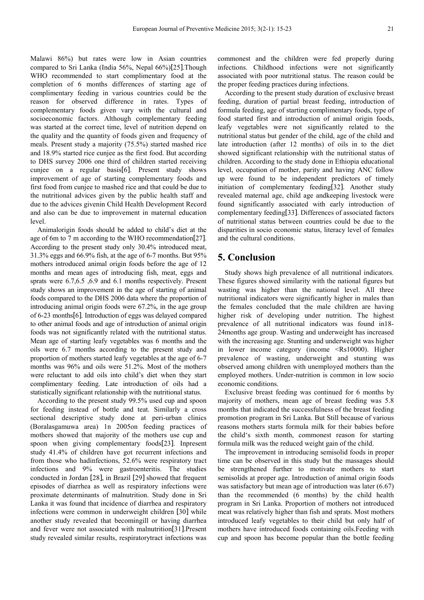Malawi 86%) but rates were low in Asian countries compared to Sri Lanka (India 56%, Nepal 66%)[25].Though WHO recommended to start complimentary food at the completion of 6 months differences of starting age of complimentary feeding in various countries could be the reason for observed difference in rates. Types of complementary foods given vary with the cultural and socioeconomic factors. Although complementary feeding was started at the correct time, level of nutrition depend on the quality and the quantity of foods given and frequency of meals. Present study a majority (75.5%) started mashed rice and 18.9% started rice cunjee as the first food. But according to DHS survey 2006 one third of children started receiving cunjee on a regular basis[6]. Present study shows improvement of age of starting complementary foods and first food from cunjee to mashed rice and that could be due to the nutritional advices given by the public health staff and due to the advices givenin Child Health Development Record and also can be due to improvement in maternal education level.

Animalorigin foods should be added to child's diet at the age of 6m to 7 m according to the WHO recommendation[27]. According to the present study only 30.4% introduced meat, 31.3% eggs and 66.9% fish, at the age of 6-7 months. But 95% mothers introduced animal origin foods before the age of 12 months and mean ages of introducing fish, meat, eggs and sprats were 6.7,6.5 ,6.9 and 6.1 months respectively. Present study shows an improvement in the age of starting of animal foods compared to the DHS 2006 data where the proportion of introducing animal origin foods were 67.2%, in the age group of 6-23 months[6]. Introduction of eggs was delayed compared to other animal foods and age of introduction of animal origin foods was not significantly related with the nutritional status. Mean age of starting leafy vegetables was 6 months and the oils were 6.7 months according to the present study and proportion of mothers started leafy vegetables at the age of 6-7 months was 96% and oils were 51.2%. Most of the mothers were reluctant to add oils into child's diet when they start complimentary feeding. Late introduction of oils had a statistically significant relationship with the nutritional status.

According to the present study 99.5% used cup and spoon for feeding instead of bottle and teat. Similarly a cross sectional descriptive study done at peri-urban clinics (Boralasgamuwa area) 1n 2005on feeding practices of mothers showed that majority of the mothers use cup and spoon when giving complementary foods[23]. Inpresent study 41.4% of children have got recurrent infections and from those who hadinfections, 52.6% were respiratory tract infections and 9% were gastroenteritis. The studies conducted in Jordan [28], in Brazil [29] showed that frequent episodes of diarrhea as well as respiratory infections were proximate determinants of malnutrition. Study done in Sri Lanka it was found that incidence of diarrhea and respiratory infections were common in underweight children [30] while another study revealed that becomingill or having diarrhea and fever were not associated with malnutrition[31].Present study revealed similar results, respiratorytract infections was

commonest and the children were fed properly during infections. Childhood infections were not significantly associated with poor nutritional status. The reason could be the proper feeding practices during infections.

According to the present study duration of exclusive breast feeding, duration of partial breast feeding, introduction of formula feeding, age of starting complimentary foods, type of food started first and introduction of animal origin foods, leafy vegetables were not significantly related to the nutritional status but gender of the child, age of the child and late introduction (after 12 months) of oils in to the diet showed significant relationship with the nutritional status of children. According to the study done in Ethiopia educational level, occupation of mother, parity and having ANC follow up were found to be independent predictors of timely initiation of complementary feeding[32]. Another study revealed maternal age, child age andkeeping livestock were found significantly associated with early introduction of complementary feeding[33]. Differences of associated factors of nutritional status between countries could be due to the disparities in socio economic status, literacy level of females and the cultural conditions.

### **5. Conclusion**

Study shows high prevalence of all nutritional indicators. These figures showed similarity with the national figures but wasting was higher than the national level. All three nutritional indicators were significantly higher in males than the females concluded that the male children are having higher risk of developing under nutrition. The highest prevalence of all nutritional indicators was found in18- 24months age group. Wasting and underweight has increased with the increasing age. Stunting and underweight was higher in lower income category (income <Rs10000). Higher prevalence of wasting, underweight and stunting was observed among children with unemployed mothers than the employed mothers. Under-nutrition is common in low socio economic conditions.

Exclusive breast feeding was continued for 6 months by majority of mothers, mean age of breast feeding was 5.8 months that indicated the successfulness of the breast feeding promotion program in Sri Lanka. But Still because of various reasons mothers starts formula milk for their babies before the child's sixth month, commonest reason for starting formula milk was the reduced weight gain of the child.

The improvement in introducing semisolid foods in proper time can be observed in this study but the massages should be strengthened further to motivate mothers to start semisolids at proper age. Introduction of animal origin foods was satisfactory but mean age of introduction was later (6.67) than the recommended (6 months) by the child health program in Sri Lanka. Proportion of mothers not introduced meat was relatively higher than fish and sprats. Most mothers introduced leafy vegetables to their child but only half of mothers have introduced foods containing oils.Feeding with cup and spoon has become popular than the bottle feeding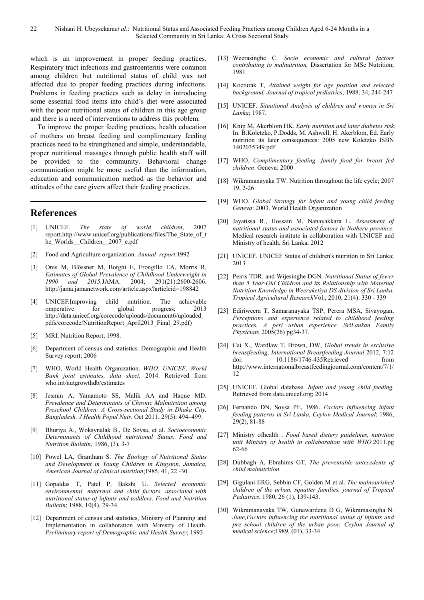which is an improvement in proper feeding practices. Respiratory tract infections and gastroenteritis were common among children but nutritional status of child was not affected due to proper feeding practices during infections. Problems in feeding practices such as delay in introducing some essential food items into child's diet were associated with the poor nutritional status of children in this age group and there is a need of interventions to address this problem.

To improve the proper feeding practices, health education of mothers on breast feeding and complimentary feeding practices need to be strengthened and simple, understandable, proper nutritional massages through public health staff will be provided to the community. Behavioral change communication might be more useful than the information, education and communication method as the behavior and attitudes of the care givers affect their feeding practices.

### **References**

- [1] UNICEF. *The state of world children*, 2007 report.http://www.unicef.org/publications/files/The\_State\_of\_t he\_Worlds\_Children\_2007\_e.pdf
- [2] Food and Agriculture organization. *Annual report*.1992
- [3] Onis M, Blössner M, Borghi E, Frongillo EA, Morris R, *Estimates of Global Prevalence of Childhood Underweight in 1990 and 2015.*JAMA. 2004; 291(21):2600-2606. http://jama.jamanetwork.com/article.aspx?articleid=198842
- [4] UNICEF.Improving child nutrition. The achievable omperative for global progress; 2013 http://data.unicef.org/corecode/uploads/document6/uploaded\_ pdfs/corecode/NutritionReport\_April2013\_Final\_29.pdf)
- [5] MRI. Nutrition Report; 1998.
- [6] Department of census and statistics. Demographic and Health Survey report; 2006
- [7] WHO, World Health Organization. *WHO. UNICEF, World Bank joint estimates, data sheet,* 2014. Retrieved from who.int/nutgrowthdb/estimates
- [8] Jesmin A, Yamamoto SS, Malik AA and Haque MD. *Prevalence and Determinants of Chronic Malnutrition among Preschool Children: A Cross-sectional Study in Dhaka City, Bangladesh. J Health Popul Nutr*. Oct 2011; 29(5): 494–499.
- [9] Bhuriya A., Woksynalak B., De Soysa, et al. *Socioeconomic Determinants of Childhood nutritional Status. Food and Nutrition Bulletin;* 1986, (3), 3-7
- [10] Powel LA, Grantham S. *The Etiology of Nutritional Status and Development in Young Children in Kingston, Jamaica, American Journal of clinical nutrition*;1985, 41, 22 -30
- [11] Gopaldas T, Patel P, Bakshi U. *Selected economic environmental, maternal and child factors, associated with nutritional status of infants and toddlers, Food and Nutrition Bulletin*; 1988, 10(4), 29-34.
- [12] Department of census and statistics, Ministry of Planning and Implementation in collaboration with Ministry of Health. *Preliminary report of Demographic and Health Survey*; 1993
- [13] Weerasinghe C. *Socio economic and cultural factors contributing to malnutrition,* Dissertation for MSc Nutrition; 1981
- [14] Kocturak T, *Attained weight for age position and selected background, Journal of tropical pediatrics*; 1988, 34, 244-247
- [15] UNICEF. *Situational Analysis of children and women in Sri Lanka*; 1987.
- [16] Knip M, Akerblom HK. *Early nutrition and later diabetes risk*. In: B.Koletzko, P.Dodds, M. Ashwell, H. Akerblom, Ed. Early nutrition its later consequences: 2005 new Koletzko ISBN 1402035349.pdf
- [17] WHO. *Complimentary feeding- family food for breast fed children*. Geneva: 2000
- [18] Wikramanayaka TW. Nutrition throughout the life cycle; 2007 19, 2-26
- [19] WHO. *Global Strategy for infant and young child feeding Geneva*: 2003. World Health Organization
- [20] Jayatissa R., Hossain M, Nanayakkara L. *Assessment of nutritional status and associated factors in Nothern province.* Medical research institute in collaboration with UNICEF and Ministry of health, Sri Lanka; 2012
- [21] UNICEF. UNICEF Status of children's nutrition in Sri Lanka; 2013
- [22] Peiris TDR. and Wijesinghe DGN. *Nutritional Status of fewer than 5 Year-Old Children and its Relationship with Maternal Nutrition Knowledge in Weeraketiya DS division of Sri Lanka. Tropical Agricultural Research*Vol.; 2010, 21(4): 330 - 339
- [23] Ediriweera T, Samaranayaka TSP, Perera MSA, Sivayogan, *Perceptions and experience related to childhood feeding practices. A peri urban experience .SriLankan Family Physician*; 2005(26) pg34-37.
- [24] Cai X., Wardlaw T, Brown, DW, *Global trends in exclusive breastfeeding, International Breastfeeding Journal* 2012, 7:12 doi: 10.1186/1746-435Retrieved from http://www.internationalbreastfeedingjournal.com/content/7/1/ 12
- [25] UNICEF. Global database. *Infant and young child feeding.* Retrieved from data.unicef.org; 2014
- [26] Fernando DN, Soysa PE, 1986. *Factors influencing infant feeding patterns in Sri Lanka, Ceylon Medical Journal*; 1986, 29(2), 81-88
- [27] Ministry ofhealth . *Food based dietery guidelines, nutrition unit Ministry of health in collaboration with WHO*.2011.pg 62-66
- [28] Dubbagh A, Ebrahims GT, *The preventable antecedents of child malnutrition.*
- [29] Gigulani ERG, Sebbin CF, Golden M et al. *The malnourished children of the urban, squatter families, journal of Tropical Pediatrics.* 1980, 26 (1), 139-143.
- [30] Wikramanayaka TW, Gunawardena D G, Wikramasingha N. *June,Factors influencing the nutritional status of infants and pre school children of the urban poor, Ceylon Journal of medical science*;1989, (01), 33-34